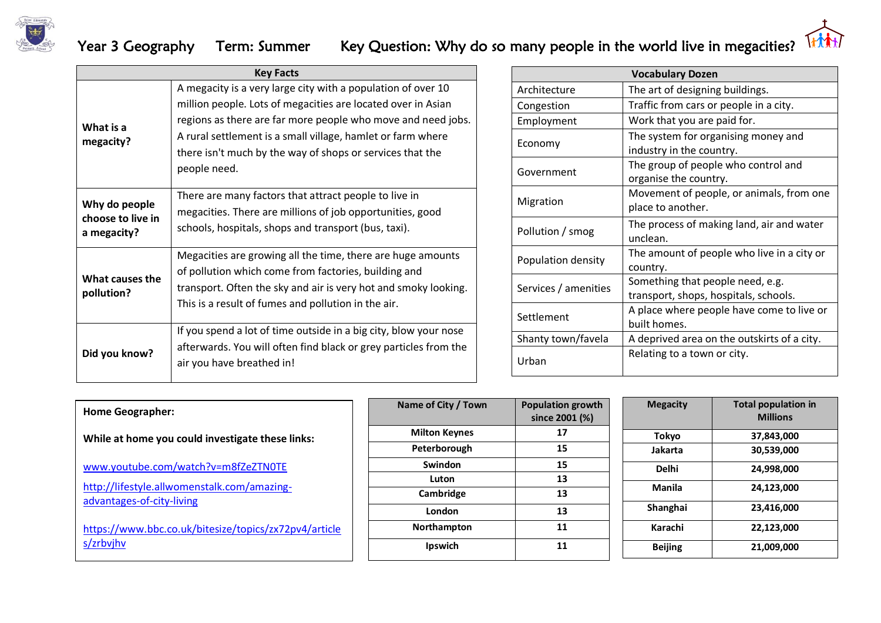

## Year 3 Geography Term: Summer Key Question: Why do so many people in the world live in megacities? Ithat



| <b>Key Facts</b>                                  |                                                                                                                                                                                                                                                                                                                                          |  |  |  |
|---------------------------------------------------|------------------------------------------------------------------------------------------------------------------------------------------------------------------------------------------------------------------------------------------------------------------------------------------------------------------------------------------|--|--|--|
| What is a<br>megacity?                            | A megacity is a very large city with a population of over 10<br>million people. Lots of megacities are located over in Asian<br>regions as there are far more people who move and need jobs.<br>A rural settlement is a small village, hamlet or farm where<br>there isn't much by the way of shops or services that the<br>people need. |  |  |  |
| Why do people<br>choose to live in<br>a megacity? | There are many factors that attract people to live in<br>megacities. There are millions of job opportunities, good<br>schools, hospitals, shops and transport (bus, taxi).                                                                                                                                                               |  |  |  |
| What causes the<br>pollution?                     | Megacities are growing all the time, there are huge amounts<br>of pollution which come from factories, building and<br>transport. Often the sky and air is very hot and smoky looking.<br>This is a result of fumes and pollution in the air.                                                                                            |  |  |  |
| Did you know?                                     | If you spend a lot of time outside in a big city, blow your nose<br>afterwards. You will often find black or grey particles from the<br>air you have breathed in!                                                                                                                                                                        |  |  |  |

| <b>Vocabulary Dozen</b> |                                                                           |  |  |  |  |  |
|-------------------------|---------------------------------------------------------------------------|--|--|--|--|--|
| Architecture            | The art of designing buildings.                                           |  |  |  |  |  |
| Congestion              | Traffic from cars or people in a city.                                    |  |  |  |  |  |
| Employment              | Work that you are paid for.                                               |  |  |  |  |  |
| Economy                 | The system for organising money and<br>industry in the country.           |  |  |  |  |  |
| Government              | The group of people who control and<br>organise the country.              |  |  |  |  |  |
| Migration               | Movement of people, or animals, from one<br>place to another.             |  |  |  |  |  |
| Pollution / smog        | The process of making land, air and water<br>unclean.                     |  |  |  |  |  |
| Population density      | The amount of people who live in a city or<br>country.                    |  |  |  |  |  |
| Services / amenities    | Something that people need, e.g.<br>transport, shops, hospitals, schools. |  |  |  |  |  |
| Settlement              | A place where people have come to live or<br>built homes.                 |  |  |  |  |  |
| Shanty town/favela      | A deprived area on the outskirts of a city.                               |  |  |  |  |  |
| Urban                   | Relating to a town or city.                                               |  |  |  |  |  |

| <b>Home Geographer:</b>                                                  | Name of City / Town  | <b>Population growth</b><br>since 2001 (%) | <b>Megacity</b> | <b>Total population in</b><br><b>Millions</b> |
|--------------------------------------------------------------------------|----------------------|--------------------------------------------|-----------------|-----------------------------------------------|
| While at home you could investigate these links:                         | <b>Milton Keynes</b> | 17                                         | Tokyo           | 37,843,000                                    |
|                                                                          | Peterborough         | 15                                         | Jakarta         | 30,539,000                                    |
| www.youtube.com/watch?v=m8fZeZTN0TE                                      | <b>Swindon</b>       | 15                                         | <b>Delhi</b>    | 24,998,000                                    |
|                                                                          | Luton                | 13                                         |                 |                                               |
| http://lifestyle.allwomenstalk.com/amazing-<br>advantages-of-city-living | Cambridge            | 13                                         | <b>Manila</b>   | 24,123,000                                    |
|                                                                          | London               | 13                                         | Shanghai        | 23,416,000                                    |
| https://www.bbc.co.uk/bitesize/topics/zx72pv4/article                    | Northampton          | 11                                         | Karachi         | 22,123,000                                    |
| s/zrbvjhv                                                                | <b>Ipswich</b>       | 11                                         | <b>Beijing</b>  | 21,009,000                                    |